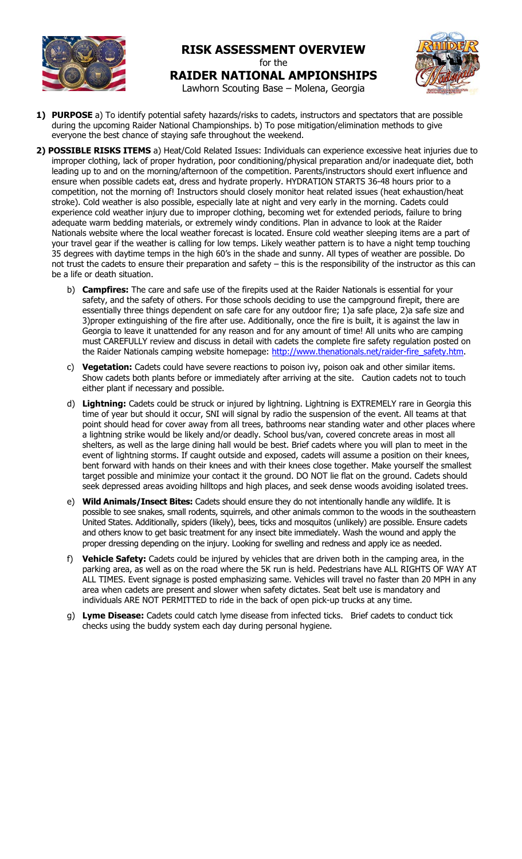

## **RISK ASSESSMENT OVERVIEW** for the **RAIDER NATIONAL AMPIONSHIPS**



Lawhorn Scouting Base – Molena, Georgia

- **1) PURPOSE** a) To identify potential safety hazards/risks to cadets, instructors and spectators that are possible during the upcoming Raider National Championships. b) To pose mitigation/elimination methods to give everyone the best chance of staying safe throughout the weekend.
- **2) POSSIBLE RISKS ITEMS** a) Heat/Cold Related Issues: Individuals can experience excessive heat injuries due to improper clothing, lack of proper hydration, poor conditioning/physical preparation and/or inadequate diet, both leading up to and on the morning/afternoon of the competition. Parents/instructors should exert influence and ensure when possible cadets eat, dress and hydrate properly. HYDRATION STARTS 36-48 hours prior to a competition, not the morning of! Instructors should closely monitor heat related issues (heat exhaustion/heat stroke). Cold weather is also possible, especially late at night and very early in the morning. Cadets could experience cold weather injury due to improper clothing, becoming wet for extended periods, failure to bring adequate warm bedding materials, or extremely windy conditions. Plan in advance to look at the Raider Nationals website where the local weather forecast is located. Ensure cold weather sleeping items are a part of your travel gear if the weather is calling for low temps. Likely weather pattern is to have a night temp touching 35 degrees with daytime temps in the high 60's in the shade and sunny. All types of weather are possible. Do not trust the cadets to ensure their preparation and safety – this is the responsibility of the instructor as this can be a life or death situation.
	- b) **Campfires:** The care and safe use of the firepits used at the Raider Nationals is essential for your safety, and the safety of others. For those schools deciding to use the campground firepit, there are essentially three things dependent on safe care for any outdoor fire; 1)a safe place, 2)a safe size and 3)proper extinguishing of the fire after use. Additionally, once the fire is built, it is against the law in Georgia to leave it unattended for any reason and for any amount of time! All units who are camping must CAREFULLY review and discuss in detail with cadets the complete fire safety regulation posted on the Raider Nationals camping website homepage: http://www.thenationals.net/raider-fire\_safety.htm.
	- c) **Vegetation:** Cadets could have severe reactions to poison ivy, poison oak and other similar items. Show cadets both plants before or immediately after arriving at the site. Caution cadets not to touch either plant if necessary and possible.
	- d) **Lightning:** Cadets could be struck or injured by lightning. Lightning is EXTREMELY rare in Georgia this time of year but should it occur, SNI will signal by radio the suspension of the event. All teams at that point should head for cover away from all trees, bathrooms near standing water and other places where a lightning strike would be likely and/or deadly. School bus/van, covered concrete areas in most all shelters, as well as the large dining hall would be best. Brief cadets where you will plan to meet in the event of lightning storms. If caught outside and exposed, cadets will assume a position on their knees, bent forward with hands on their knees and with their knees close together. Make yourself the smallest target possible and minimize your contact it the ground. DO NOT lie flat on the ground. Cadets should seek depressed areas avoiding hilltops and high places, and seek dense woods avoiding isolated trees.
	- e) **Wild Animals/Insect Bites:** Cadets should ensure they do not intentionally handle any wildlife. It is possible to see snakes, small rodents, squirrels, and other animals common to the woods in the southeastern United States. Additionally, spiders (likely), bees, ticks and mosquitos (unlikely) are possible. Ensure cadets and others know to get basic treatment for any insect bite immediately. Wash the wound and apply the proper dressing depending on the injury. Looking for swelling and redness and apply ice as needed.
	- f) **Vehicle Safety:** Cadets could be injured by vehicles that are driven both in the camping area, in the parking area, as well as on the road where the 5K run is held. Pedestrians have ALL RIGHTS OF WAY AT ALL TIMES. Event signage is posted emphasizing same. Vehicles will travel no faster than 20 MPH in any area when cadets are present and slower when safety dictates. Seat belt use is mandatory and individuals ARE NOT PERMITTED to ride in the back of open pick-up trucks at any time.
	- g) **Lyme Disease:** Cadets could catch lyme disease from infected ticks. Brief cadets to conduct tick checks using the buddy system each day during personal hygiene.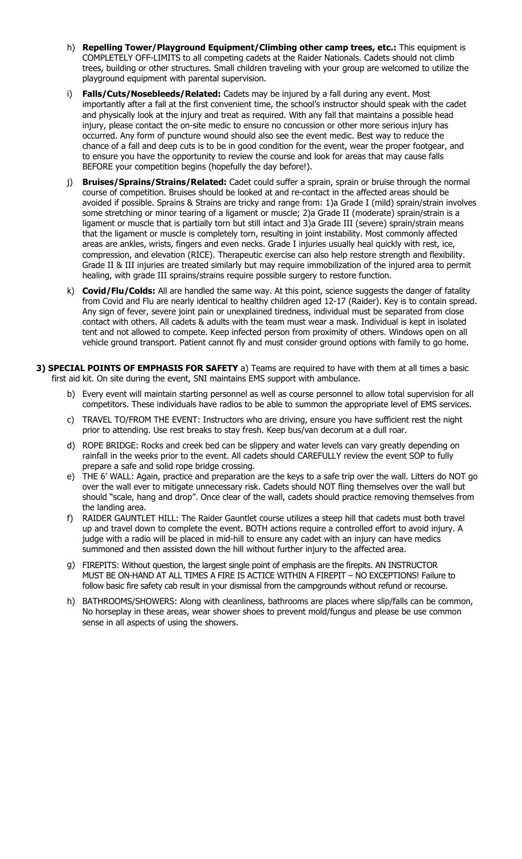- h) **Repelling Tower/Playground Equipment/Climbing other camp trees, etc.:** This equipment is COMPLETELY OFF-LIMITS to all competing cadets at the Raider Nationals. Cadets should not climb trees, building or other structures. Small children traveling with your group are welcomed to utilize the playground equipment with parental supervision.
- i) **Falls/Cuts/Nosebleeds/Related:** Cadets may be injured by a fall during any event. Most importantly after a fall at the first convenient time, the school's instructor should speak with the cadet and physically look at the injury and treat as required. With any fall that maintains a possible head injury, please contact the on-site medic to ensure no concussion or other more serious injury has occurred. Any form of puncture wound should also see the event medic. Best way to reduce the chance of a fall and deep cuts is to be in good condition for the event, wear the proper footgear, and to ensure you have the opportunity to review the course and look for areas that may cause falls BEFORE your competition begins (hopefully the day before!).
- j) **Bruises/Sprains/Strains/Related:** Cadet could suffer a sprain, sprain or bruise through the normal course of competition. Bruises should be looked at and re-contact in the affected areas should be avoided if possible. Sprains & Strains are tricky and range from: 1)a Grade I (mild) sprain/strain involves some stretching or minor tearing of a ligament or muscle; 2)a Grade II (moderate) sprain/strain is a ligament or muscle that is partially torn but still intact and 3)a Grade III (severe) sprain/strain means that the ligament or muscle is completely torn, resulting in joint instability. Most commonly affected areas are ankles, wrists, fingers and even necks. Grade I injuries usually heal quickly with rest, ice, compression, and elevation (RICE). Therapeutic exercise can also help restore strength and flexibility. Grade II & III injuries are treated similarly but may require immobilization of the injured area to permit healing, with grade III sprains/strains require possible surgery to restore function.
- k) **Covid/Flu/Colds:** All are handled the same way. At this point, science suggests the danger of fatality from Covid and Flu are nearly identical to healthy children aged 12-17 (Raider). Key is to contain spread. Any sign of fever, severe joint pain or unexplained tiredness, individual must be separated from close contact with others. All cadets & adults with the team must wear a mask. Individual is kept in isolated tent and not allowed to compete. Keep infected person from proximity of others. Windows open on all vehicle ground transport. Patient cannot fly and must consider ground options with family to go home.
- **3) SPECIAL POINTS OF EMPHASIS FOR SAFETY** a) Teams are required to have with them at all times a basic first aid kit. On site during the event, SNI maintains EMS support with ambulance.
	- b) Every event will maintain starting personnel as well as course personnel to allow total supervision for all competitors. These individuals have radios to be able to summon the appropriate level of EMS services.
	- c) TRAVEL TO/FROM THE EVENT: Instructors who are driving, ensure you have sufficient rest the night prior to attending. Use rest breaks to stay fresh. Keep bus/van decorum at a dull roar.
	- d) ROPE BRIDGE: Rocks and creek bed can be slippery and water levels can vary greatly depending on rainfall in the weeks prior to the event. All cadets should CAREFULLY review the event SOP to fully prepare a safe and solid rope bridge crossing.
	- e) THE 6' WALL: Again, practice and preparation are the keys to a safe trip over the wall. Litters do NOT go over the wall ever to mitigate unnecessary risk. Cadets should NOT fling themselves over the wall but should "scale, hang and drop". Once clear of the wall, cadets should practice removing themselves from the landing area.
	- f) RAIDER GAUNTLET HILL: The Raider Gauntlet course utilizes a steep hill that cadets must both travel up and travel down to complete the event. BOTH actions require a controlled effort to avoid injury. A judge with a radio will be placed in mid-hill to ensure any cadet with an injury can have medics summoned and then assisted down the hill without further injury to the affected area.
	- g) FIREPITS: Without question, the largest single point of emphasis are the firepits. AN INSTRUCTOR MUST BE ON-HAND AT ALL TIMES A FIRE IS ACTICE WITHIN A FIREPIT – NO EXCEPTIONS! Failure to follow basic fire safety cab result in your dismissal from the campgrounds without refund or recourse.
	- h) BATHROOMS/SHOWERS: Along with cleanliness, bathrooms are places where slip/falls can be common, No horseplay in these areas, wear shower shoes to prevent mold/fungus and please be use common sense in all aspects of using the showers.